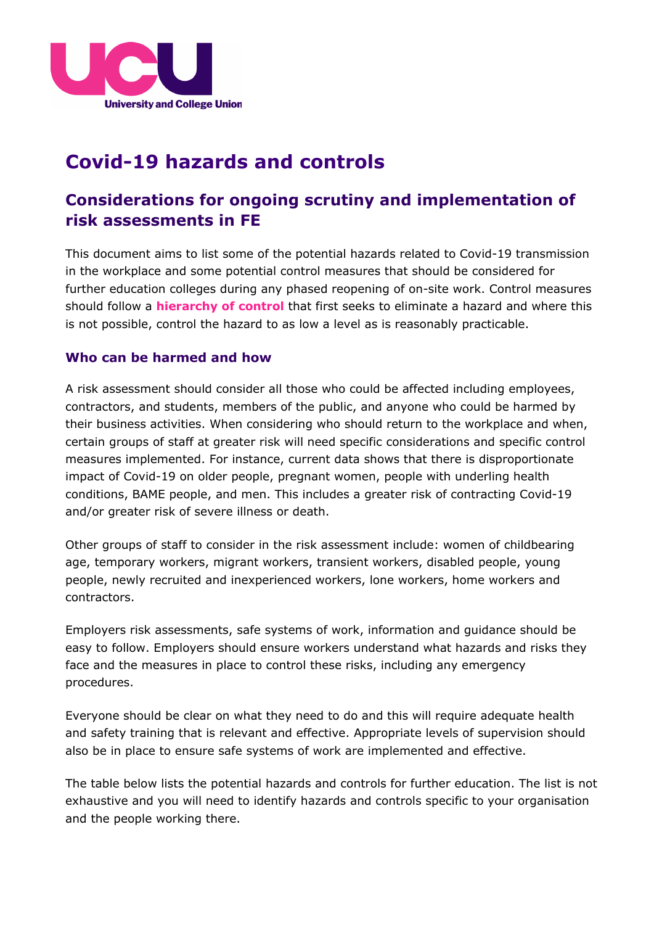

# **Covid-19 hazards and controls**

## **Considerations for ongoing scrutiny and implementation of risk assessments in FE**

This document aims to list some of the potential hazards related to Covid-19 transmission in the workplace and some potential control measures that should be considered for further education colleges during any phased reopening of on-site work. Control measures should follow a **[hierarchy of control](https://www.hse.gov.uk/risk/faq.htm#hierarchy)** that first seeks to eliminate a hazard and where this is not possible, control the hazard to as low a level as is reasonably practicable.

### **Who can be harmed and how**

A risk assessment should consider all those who could be affected including employees, contractors, and students, members of the public, and anyone who could be harmed by their business activities. When considering who should return to the workplace and when, certain groups of staff at greater risk will need specific considerations and specific control measures implemented. For instance, current data shows that there is disproportionate impact of Covid-19 on older people, pregnant women, people with underling health conditions, BAME people, and men. This includes a greater risk of contracting Covid-19 and/or greater risk of severe illness or death.

Other groups of staff to consider in the risk assessment include: women of childbearing age, temporary workers, migrant workers, transient workers, disabled people, young people, newly recruited and inexperienced workers, lone workers, home workers and contractors.

Employers risk assessments, safe systems of work, information and guidance should be easy to follow. Employers should ensure workers understand what hazards and risks they face and the measures in place to control these risks, including any emergency procedures.

Everyone should be clear on what they need to do and this will require adequate health and safety training that is relevant and effective. Appropriate levels of supervision should also be in place to ensure safe systems of work are implemented and effective.

The table below lists the potential hazards and controls for further education. The list is not exhaustive and you will need to identify hazards and controls specific to your organisation and the people working there.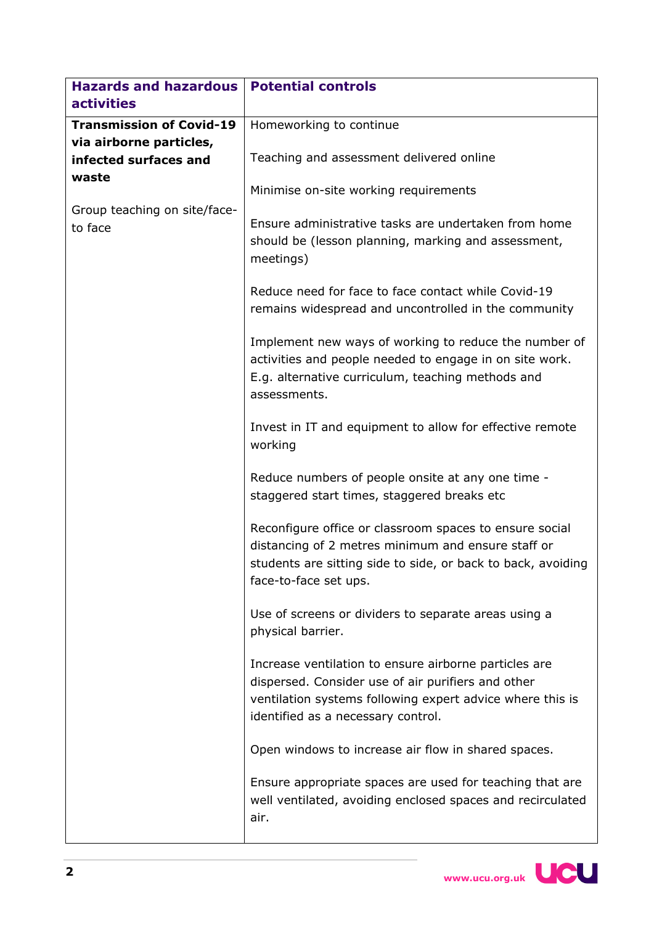| <b>Hazards and hazardous</b>                     | <b>Potential controls</b>                                                                                                                                                                                      |
|--------------------------------------------------|----------------------------------------------------------------------------------------------------------------------------------------------------------------------------------------------------------------|
| <b>activities</b>                                |                                                                                                                                                                                                                |
| <b>Transmission of Covid-19</b>                  | Homeworking to continue                                                                                                                                                                                        |
| via airborne particles,<br>infected surfaces and | Teaching and assessment delivered online                                                                                                                                                                       |
| waste                                            | Minimise on-site working requirements                                                                                                                                                                          |
| Group teaching on site/face-<br>to face          | Ensure administrative tasks are undertaken from home<br>should be (lesson planning, marking and assessment,<br>meetings)                                                                                       |
|                                                  | Reduce need for face to face contact while Covid-19<br>remains widespread and uncontrolled in the community                                                                                                    |
|                                                  | Implement new ways of working to reduce the number of<br>activities and people needed to engage in on site work.<br>E.g. alternative curriculum, teaching methods and<br>assessments.                          |
|                                                  | Invest in IT and equipment to allow for effective remote<br>working                                                                                                                                            |
|                                                  | Reduce numbers of people onsite at any one time -<br>staggered start times, staggered breaks etc                                                                                                               |
|                                                  | Reconfigure office or classroom spaces to ensure social<br>distancing of 2 metres minimum and ensure staff or<br>students are sitting side to side, or back to back, avoiding<br>face-to-face set ups.         |
|                                                  | Use of screens or dividers to separate areas using a<br>physical barrier.                                                                                                                                      |
|                                                  | Increase ventilation to ensure airborne particles are<br>dispersed. Consider use of air purifiers and other<br>ventilation systems following expert advice where this is<br>identified as a necessary control. |
|                                                  | Open windows to increase air flow in shared spaces.                                                                                                                                                            |
|                                                  | Ensure appropriate spaces are used for teaching that are<br>well ventilated, avoiding enclosed spaces and recirculated<br>air.                                                                                 |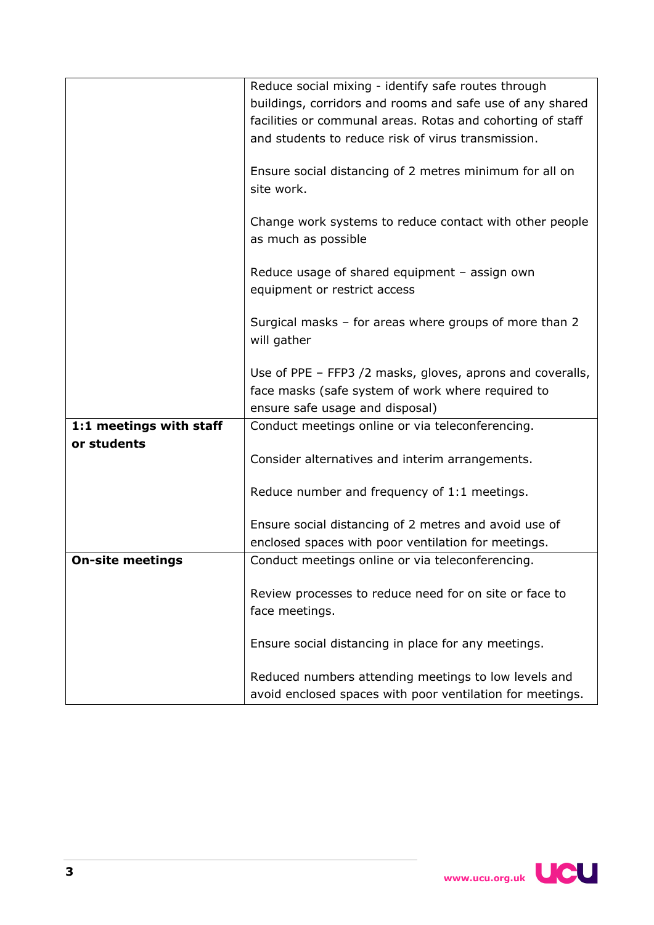|                         | Reduce social mixing - identify safe routes through        |
|-------------------------|------------------------------------------------------------|
|                         | buildings, corridors and rooms and safe use of any shared  |
|                         | facilities or communal areas. Rotas and cohorting of staff |
|                         | and students to reduce risk of virus transmission.         |
|                         |                                                            |
|                         |                                                            |
|                         | Ensure social distancing of 2 metres minimum for all on    |
|                         | site work.                                                 |
|                         |                                                            |
|                         | Change work systems to reduce contact with other people    |
|                         | as much as possible                                        |
|                         |                                                            |
|                         | Reduce usage of shared equipment - assign own              |
|                         | equipment or restrict access                               |
|                         |                                                            |
|                         | Surgical masks - for areas where groups of more than 2     |
|                         | will gather                                                |
|                         |                                                            |
|                         | Use of PPE – FFP3 /2 masks, gloves, aprons and coveralls,  |
|                         | face masks (safe system of work where required to          |
|                         | ensure safe usage and disposal)                            |
| 1:1 meetings with staff | Conduct meetings online or via teleconferencing.           |
| or students             |                                                            |
|                         | Consider alternatives and interim arrangements.            |
|                         |                                                            |
|                         | Reduce number and frequency of 1:1 meetings.               |
|                         |                                                            |
|                         | Ensure social distancing of 2 metres and avoid use of      |
|                         | enclosed spaces with poor ventilation for meetings.        |
|                         |                                                            |
| <b>On-site meetings</b> | Conduct meetings online or via teleconferencing.           |
|                         |                                                            |
|                         | Review processes to reduce need for on site or face to     |
|                         | face meetings.                                             |
|                         |                                                            |
|                         | Ensure social distancing in place for any meetings.        |
|                         |                                                            |
|                         | Reduced numbers attending meetings to low levels and       |
|                         | avoid enclosed spaces with poor ventilation for meetings.  |

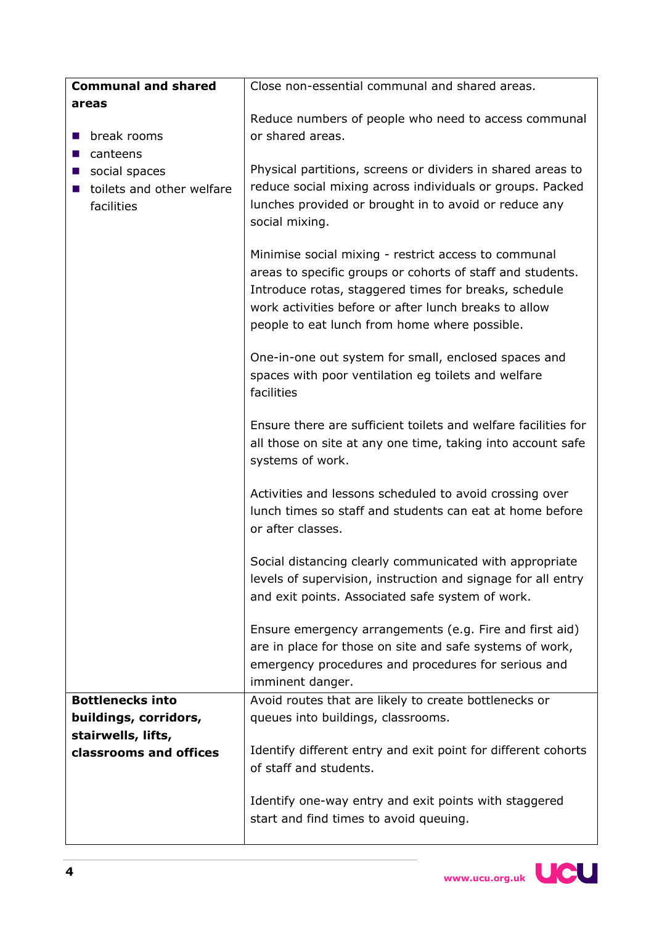| <b>Communal and shared</b>     | Close non-essential communal and shared areas.                                                                                                                                                                                                                                        |
|--------------------------------|---------------------------------------------------------------------------------------------------------------------------------------------------------------------------------------------------------------------------------------------------------------------------------------|
| areas                          |                                                                                                                                                                                                                                                                                       |
|                                | Reduce numbers of people who need to access communal                                                                                                                                                                                                                                  |
| break rooms<br><b>COL</b>      | or shared areas.                                                                                                                                                                                                                                                                      |
| canteens<br>ш                  |                                                                                                                                                                                                                                                                                       |
| social spaces<br>ш             | Physical partitions, screens or dividers in shared areas to                                                                                                                                                                                                                           |
| toilets and other welfare<br>ш | reduce social mixing across individuals or groups. Packed                                                                                                                                                                                                                             |
| facilities                     | lunches provided or brought in to avoid or reduce any<br>social mixing.                                                                                                                                                                                                               |
|                                |                                                                                                                                                                                                                                                                                       |
|                                | Minimise social mixing - restrict access to communal<br>areas to specific groups or cohorts of staff and students.<br>Introduce rotas, staggered times for breaks, schedule<br>work activities before or after lunch breaks to allow<br>people to eat lunch from home where possible. |
|                                | One-in-one out system for small, enclosed spaces and<br>spaces with poor ventilation eg toilets and welfare<br>facilities                                                                                                                                                             |
|                                | Ensure there are sufficient toilets and welfare facilities for<br>all those on site at any one time, taking into account safe<br>systems of work.                                                                                                                                     |
|                                | Activities and lessons scheduled to avoid crossing over<br>lunch times so staff and students can eat at home before<br>or after classes.                                                                                                                                              |
|                                | Social distancing clearly communicated with appropriate<br>levels of supervision, instruction and signage for all entry<br>and exit points. Associated safe system of work.                                                                                                           |
|                                | Ensure emergency arrangements (e.g. Fire and first aid)<br>are in place for those on site and safe systems of work,<br>emergency procedures and procedures for serious and<br>imminent danger.                                                                                        |
| <b>Bottlenecks into</b>        | Avoid routes that are likely to create bottlenecks or                                                                                                                                                                                                                                 |
| buildings, corridors,          | queues into buildings, classrooms.                                                                                                                                                                                                                                                    |
| stairwells, lifts,             |                                                                                                                                                                                                                                                                                       |
| classrooms and offices         | Identify different entry and exit point for different cohorts<br>of staff and students.                                                                                                                                                                                               |
|                                | Identify one-way entry and exit points with staggered<br>start and find times to avoid queuing.                                                                                                                                                                                       |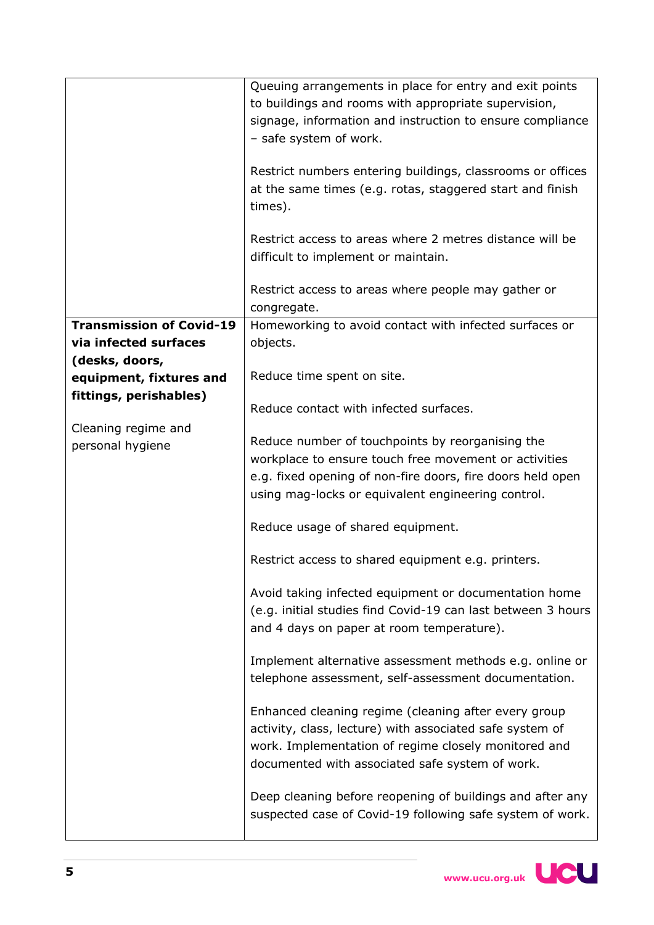|                                                                            | Queuing arrangements in place for entry and exit points<br>to buildings and rooms with appropriate supervision,<br>signage, information and instruction to ensure compliance<br>- safe system of work.<br>Restrict numbers entering buildings, classrooms or offices<br>at the same times (e.g. rotas, staggered start and finish<br>times).<br>Restrict access to areas where 2 metres distance will be<br>difficult to implement or maintain. |
|----------------------------------------------------------------------------|-------------------------------------------------------------------------------------------------------------------------------------------------------------------------------------------------------------------------------------------------------------------------------------------------------------------------------------------------------------------------------------------------------------------------------------------------|
|                                                                            | Restrict access to areas where people may gather or<br>congregate.                                                                                                                                                                                                                                                                                                                                                                              |
| <b>Transmission of Covid-19</b><br>via infected surfaces<br>(desks, doors, | Homeworking to avoid contact with infected surfaces or<br>objects.                                                                                                                                                                                                                                                                                                                                                                              |
| equipment, fixtures and<br>fittings, perishables)                          | Reduce time spent on site.                                                                                                                                                                                                                                                                                                                                                                                                                      |
| Cleaning regime and                                                        | Reduce contact with infected surfaces.                                                                                                                                                                                                                                                                                                                                                                                                          |
| personal hygiene                                                           | Reduce number of touchpoints by reorganising the<br>workplace to ensure touch free movement or activities<br>e.g. fixed opening of non-fire doors, fire doors held open<br>using mag-locks or equivalent engineering control.                                                                                                                                                                                                                   |
|                                                                            | Reduce usage of shared equipment.                                                                                                                                                                                                                                                                                                                                                                                                               |
|                                                                            | Restrict access to shared equipment e.g. printers.                                                                                                                                                                                                                                                                                                                                                                                              |
|                                                                            | Avoid taking infected equipment or documentation home<br>(e.g. initial studies find Covid-19 can last between 3 hours<br>and 4 days on paper at room temperature).                                                                                                                                                                                                                                                                              |
|                                                                            | Implement alternative assessment methods e.g. online or<br>telephone assessment, self-assessment documentation.                                                                                                                                                                                                                                                                                                                                 |
|                                                                            | Enhanced cleaning regime (cleaning after every group<br>activity, class, lecture) with associated safe system of<br>work. Implementation of regime closely monitored and<br>documented with associated safe system of work.                                                                                                                                                                                                                     |
|                                                                            | Deep cleaning before reopening of buildings and after any<br>suspected case of Covid-19 following safe system of work.                                                                                                                                                                                                                                                                                                                          |

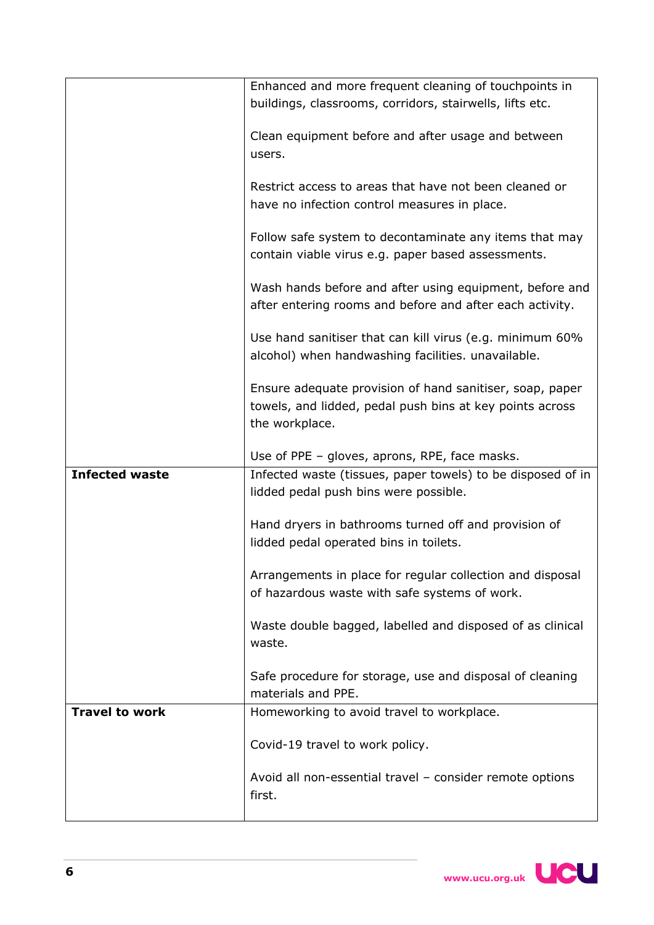|                       | Enhanced and more frequent cleaning of touchpoints in              |
|-----------------------|--------------------------------------------------------------------|
|                       | buildings, classrooms, corridors, stairwells, lifts etc.           |
|                       |                                                                    |
|                       | Clean equipment before and after usage and between                 |
|                       | users.                                                             |
|                       |                                                                    |
|                       | Restrict access to areas that have not been cleaned or             |
|                       | have no infection control measures in place.                       |
|                       |                                                                    |
|                       | Follow safe system to decontaminate any items that may             |
|                       | contain viable virus e.g. paper based assessments.                 |
|                       |                                                                    |
|                       | Wash hands before and after using equipment, before and            |
|                       | after entering rooms and before and after each activity.           |
|                       | Use hand sanitiser that can kill virus (e.g. minimum 60%           |
|                       | alcohol) when handwashing facilities. unavailable.                 |
|                       |                                                                    |
|                       | Ensure adequate provision of hand sanitiser, soap, paper           |
|                       | towels, and lidded, pedal push bins at key points across           |
|                       | the workplace.                                                     |
|                       |                                                                    |
|                       |                                                                    |
|                       | Use of PPE - gloves, aprons, RPE, face masks.                      |
| <b>Infected waste</b> | Infected waste (tissues, paper towels) to be disposed of in        |
|                       | lidded pedal push bins were possible.                              |
|                       |                                                                    |
|                       | Hand dryers in bathrooms turned off and provision of               |
|                       | lidded pedal operated bins in toilets.                             |
|                       |                                                                    |
|                       | Arrangements in place for regular collection and disposal          |
|                       | of hazardous waste with safe systems of work.                      |
|                       | Waste double bagged, labelled and disposed of as clinical          |
|                       | waste.                                                             |
|                       |                                                                    |
|                       | Safe procedure for storage, use and disposal of cleaning           |
|                       | materials and PPE.                                                 |
| <b>Travel to work</b> | Homeworking to avoid travel to workplace.                          |
|                       |                                                                    |
|                       | Covid-19 travel to work policy.                                    |
|                       |                                                                    |
|                       | Avoid all non-essential travel - consider remote options<br>first. |

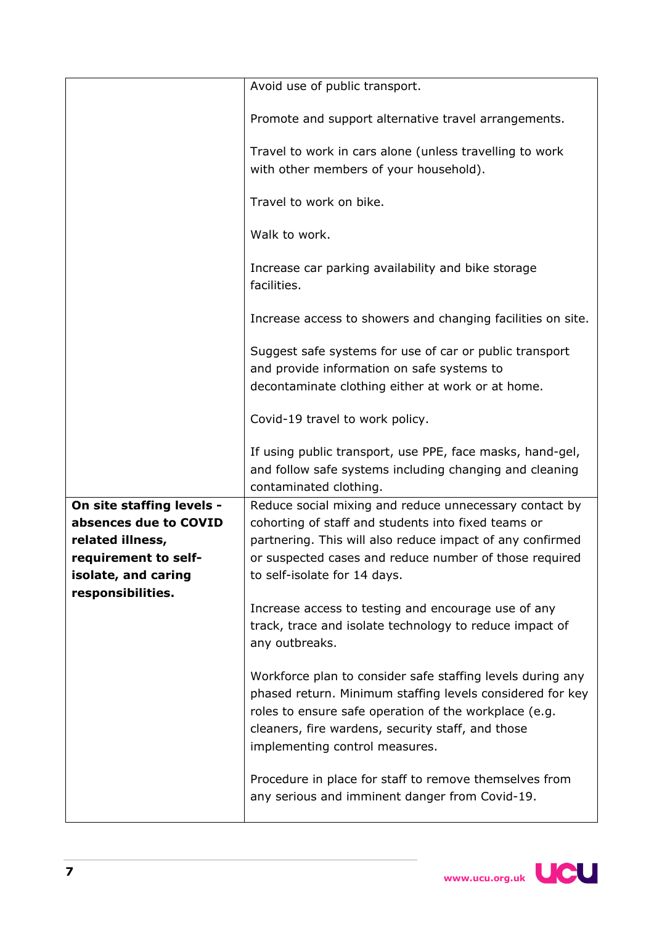|                                             | Avoid use of public transport.                                                                                                                                                                                                                                          |
|---------------------------------------------|-------------------------------------------------------------------------------------------------------------------------------------------------------------------------------------------------------------------------------------------------------------------------|
|                                             | Promote and support alternative travel arrangements.                                                                                                                                                                                                                    |
|                                             | Travel to work in cars alone (unless travelling to work<br>with other members of your household).                                                                                                                                                                       |
|                                             | Travel to work on bike.                                                                                                                                                                                                                                                 |
|                                             | Walk to work.                                                                                                                                                                                                                                                           |
|                                             | Increase car parking availability and bike storage<br>facilities.                                                                                                                                                                                                       |
|                                             | Increase access to showers and changing facilities on site.                                                                                                                                                                                                             |
|                                             | Suggest safe systems for use of car or public transport<br>and provide information on safe systems to<br>decontaminate clothing either at work or at home.                                                                                                              |
|                                             | Covid-19 travel to work policy.                                                                                                                                                                                                                                         |
|                                             | If using public transport, use PPE, face masks, hand-gel,<br>and follow safe systems including changing and cleaning<br>contaminated clothing.                                                                                                                          |
| On site staffing levels -                   | Reduce social mixing and reduce unnecessary contact by                                                                                                                                                                                                                  |
| absences due to COVID                       | cohorting of staff and students into fixed teams or                                                                                                                                                                                                                     |
|                                             |                                                                                                                                                                                                                                                                         |
| related illness,                            | partnering. This will also reduce impact of any confirmed                                                                                                                                                                                                               |
| requirement to self-<br>isolate, and caring | or suspected cases and reduce number of those required<br>to self-isolate for 14 days.                                                                                                                                                                                  |
| responsibilities.                           | Increase access to testing and encourage use of any<br>track, trace and isolate technology to reduce impact of<br>any outbreaks.                                                                                                                                        |
|                                             | Workforce plan to consider safe staffing levels during any<br>phased return. Minimum staffing levels considered for key<br>roles to ensure safe operation of the workplace (e.g.<br>cleaners, fire wardens, security staff, and those<br>implementing control measures. |
|                                             | Procedure in place for staff to remove themselves from<br>any serious and imminent danger from Covid-19.                                                                                                                                                                |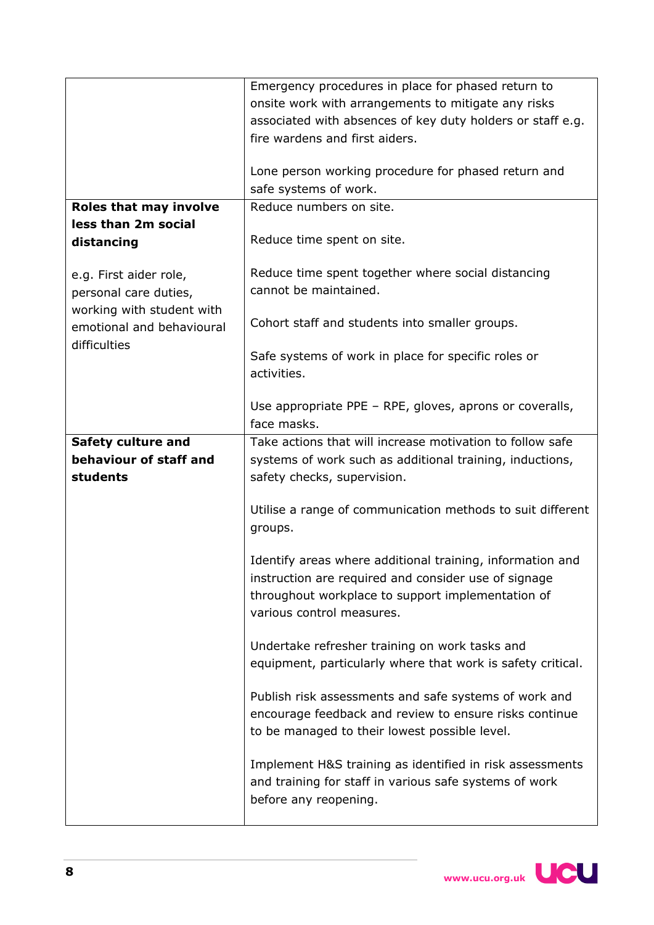|                               | Emergency procedures in place for phased return to          |
|-------------------------------|-------------------------------------------------------------|
|                               | onsite work with arrangements to mitigate any risks         |
|                               | associated with absences of key duty holders or staff e.g.  |
|                               | fire wardens and first aiders.                              |
|                               |                                                             |
|                               | Lone person working procedure for phased return and         |
|                               | safe systems of work.                                       |
| <b>Roles that may involve</b> | Reduce numbers on site.                                     |
| less than 2m social           |                                                             |
| distancing                    | Reduce time spent on site.                                  |
|                               |                                                             |
| e.g. First aider role,        | Reduce time spent together where social distancing          |
| personal care duties,         | cannot be maintained.                                       |
| working with student with     |                                                             |
| emotional and behavioural     | Cohort staff and students into smaller groups.              |
| difficulties                  | Safe systems of work in place for specific roles or         |
|                               | activities.                                                 |
|                               |                                                             |
|                               | Use appropriate PPE – RPE, gloves, aprons or coveralls,     |
|                               | face masks.                                                 |
| <b>Safety culture and</b>     | Take actions that will increase motivation to follow safe   |
| behaviour of staff and        | systems of work such as additional training, inductions,    |
| students                      | safety checks, supervision.                                 |
|                               |                                                             |
|                               | Utilise a range of communication methods to suit different  |
|                               | groups.                                                     |
|                               |                                                             |
|                               | Identify areas where additional training, information and   |
|                               | instruction are required and consider use of signage        |
|                               | throughout workplace to support implementation of           |
|                               | various control measures.                                   |
|                               |                                                             |
|                               | Undertake refresher training on work tasks and              |
|                               | equipment, particularly where that work is safety critical. |
|                               |                                                             |
|                               | Publish risk assessments and safe systems of work and       |
|                               | encourage feedback and review to ensure risks continue      |
|                               | to be managed to their lowest possible level.               |
|                               |                                                             |
|                               | Implement H&S training as identified in risk assessments    |
|                               | and training for staff in various safe systems of work      |
|                               | before any reopening.                                       |
|                               |                                                             |

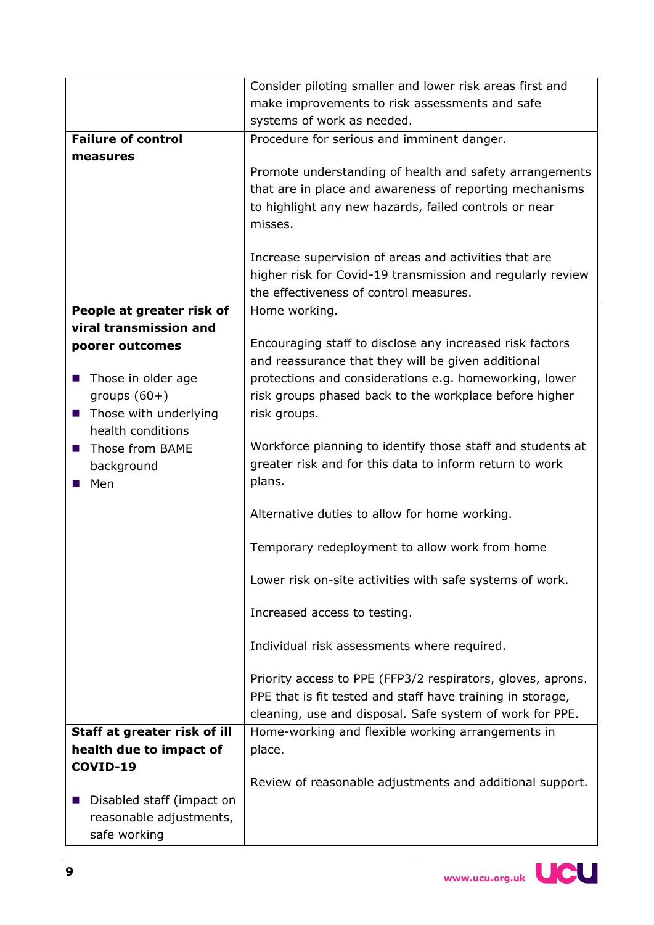|                                         | Consider piloting smaller and lower risk areas first and    |
|-----------------------------------------|-------------------------------------------------------------|
|                                         | make improvements to risk assessments and safe              |
|                                         | systems of work as needed.                                  |
| <b>Failure of control</b>               | Procedure for serious and imminent danger.                  |
| measures                                |                                                             |
|                                         | Promote understanding of health and safety arrangements     |
|                                         | that are in place and awareness of reporting mechanisms     |
|                                         | to highlight any new hazards, failed controls or near       |
|                                         | misses.                                                     |
|                                         |                                                             |
|                                         | Increase supervision of areas and activities that are       |
|                                         | higher risk for Covid-19 transmission and regularly review  |
|                                         | the effectiveness of control measures.                      |
| People at greater risk of               | Home working.                                               |
| viral transmission and                  |                                                             |
| poorer outcomes                         | Encouraging staff to disclose any increased risk factors    |
|                                         | and reassurance that they will be given additional          |
| Those in older age<br><b>COL</b>        | protections and considerations e.g. homeworking, lower      |
| groups $(60+)$                          | risk groups phased back to the workplace before higher      |
| ■ Those with underlying                 | risk groups.                                                |
| health conditions                       |                                                             |
| Those from BAME                         | Workforce planning to identify those staff and students at  |
| background                              | greater risk and for this data to inform return to work     |
| Men<br>ш                                | plans.                                                      |
|                                         | Alternative duties to allow for home working.               |
|                                         |                                                             |
|                                         | Temporary redeployment to allow work from home              |
|                                         |                                                             |
|                                         | Lower risk on-site activities with safe systems of work.    |
|                                         |                                                             |
|                                         | Increased access to testing.                                |
|                                         | Individual risk assessments where required.                 |
|                                         |                                                             |
|                                         | Priority access to PPE (FFP3/2 respirators, gloves, aprons. |
|                                         | PPE that is fit tested and staff have training in storage,  |
|                                         | cleaning, use and disposal. Safe system of work for PPE.    |
| Staff at greater risk of ill            | Home-working and flexible working arrangements in           |
| health due to impact of                 | place.                                                      |
| COVID-19                                |                                                             |
|                                         | Review of reasonable adjustments and additional support.    |
| Disabled staff (impact on<br><b>COL</b> |                                                             |
| reasonable adjustments,                 |                                                             |
| safe working                            |                                                             |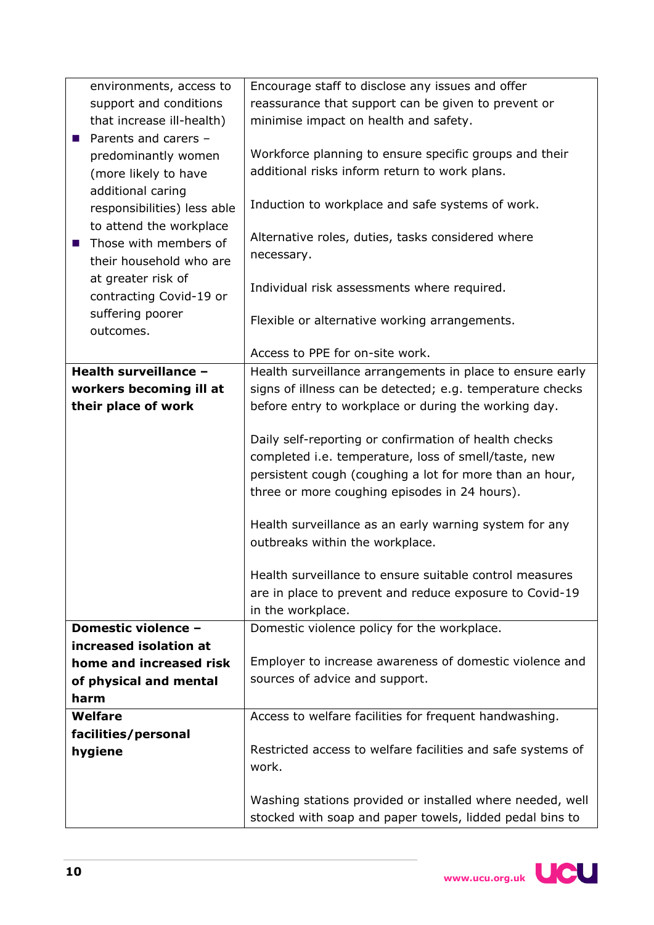| environments, access to                               | Encourage staff to disclose any issues and offer            |
|-------------------------------------------------------|-------------------------------------------------------------|
| support and conditions                                | reassurance that support can be given to prevent or         |
| that increase ill-health)                             | minimise impact on health and safety.                       |
| Parents and carers -<br>$\sim 100$                    |                                                             |
| predominantly women                                   | Workforce planning to ensure specific groups and their      |
| (more likely to have                                  | additional risks inform return to work plans.               |
| additional caring                                     |                                                             |
| responsibilities) less able                           | Induction to workplace and safe systems of work.            |
| to attend the workplace                               |                                                             |
| Those with members of<br>$\mathcal{L}_{\mathrm{eff}}$ | Alternative roles, duties, tasks considered where           |
| their household who are                               | necessary.                                                  |
| at greater risk of                                    |                                                             |
| contracting Covid-19 or                               | Individual risk assessments where required.                 |
| suffering poorer                                      |                                                             |
| outcomes.                                             | Flexible or alternative working arrangements.               |
|                                                       |                                                             |
|                                                       | Access to PPE for on-site work.                             |
| Health surveillance -                                 | Health surveillance arrangements in place to ensure early   |
| workers becoming ill at                               | signs of illness can be detected; e.g. temperature checks   |
| their place of work                                   | before entry to workplace or during the working day.        |
|                                                       |                                                             |
|                                                       | Daily self-reporting or confirmation of health checks       |
|                                                       | completed i.e. temperature, loss of smell/taste, new        |
|                                                       | persistent cough (coughing a lot for more than an hour,     |
|                                                       | three or more coughing episodes in 24 hours).               |
|                                                       |                                                             |
|                                                       | Health surveillance as an early warning system for any      |
|                                                       | outbreaks within the workplace.                             |
|                                                       |                                                             |
|                                                       | Health surveillance to ensure suitable control measures     |
|                                                       | are in place to prevent and reduce exposure to Covid-19     |
|                                                       | in the workplace.                                           |
| Domestic violence -                                   | Domestic violence policy for the workplace.                 |
| increased isolation at                                |                                                             |
| home and increased risk                               | Employer to increase awareness of domestic violence and     |
| of physical and mental                                | sources of advice and support.                              |
| harm                                                  |                                                             |
| <b>Welfare</b>                                        | Access to welfare facilities for frequent handwashing.      |
| facilities/personal                                   |                                                             |
| hygiene                                               | Restricted access to welfare facilities and safe systems of |
|                                                       | work.                                                       |
|                                                       |                                                             |
|                                                       | Washing stations provided or installed where needed, well   |
|                                                       | stocked with soap and paper towels, lidded pedal bins to    |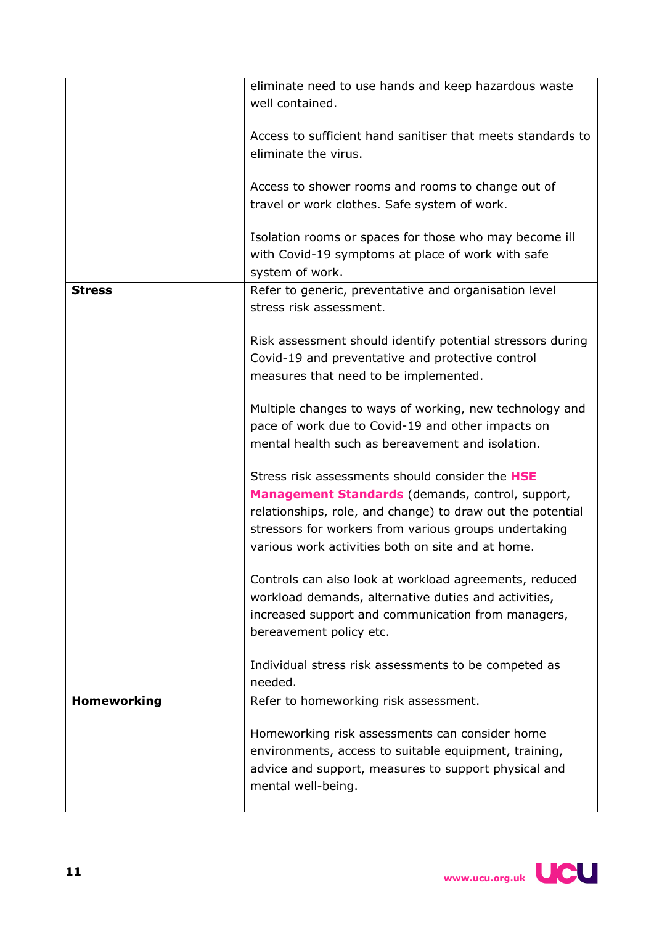|               | eliminate need to use hands and keep hazardous waste        |
|---------------|-------------------------------------------------------------|
|               | well contained.                                             |
|               |                                                             |
|               | Access to sufficient hand sanitiser that meets standards to |
|               | eliminate the virus.                                        |
|               |                                                             |
|               | Access to shower rooms and rooms to change out of           |
|               | travel or work clothes. Safe system of work.                |
|               | Isolation rooms or spaces for those who may become ill      |
|               | with Covid-19 symptoms at place of work with safe           |
|               | system of work.                                             |
| <b>Stress</b> | Refer to generic, preventative and organisation level       |
|               | stress risk assessment.                                     |
|               |                                                             |
|               | Risk assessment should identify potential stressors during  |
|               | Covid-19 and preventative and protective control            |
|               | measures that need to be implemented.                       |
|               |                                                             |
|               | Multiple changes to ways of working, new technology and     |
|               | pace of work due to Covid-19 and other impacts on           |
|               | mental health such as bereavement and isolation.            |
|               |                                                             |
|               | Stress risk assessments should consider the HSE             |
|               | Management Standards (demands, control, support,            |
|               | relationships, role, and change) to draw out the potential  |
|               | stressors for workers from various groups undertaking       |
|               | various work activities both on site and at home.           |
|               |                                                             |
|               | Controls can also look at workload agreements, reduced      |
|               | workload demands, alternative duties and activities,        |
|               | increased support and communication from managers,          |
|               | bereavement policy etc.                                     |
|               | Individual stress risk assessments to be competed as        |
|               | needed.                                                     |
| Homeworking   | Refer to homeworking risk assessment.                       |
|               |                                                             |
|               | Homeworking risk assessments can consider home              |
|               | environments, access to suitable equipment, training,       |
|               | advice and support, measures to support physical and        |
|               | mental well-being.                                          |
|               |                                                             |

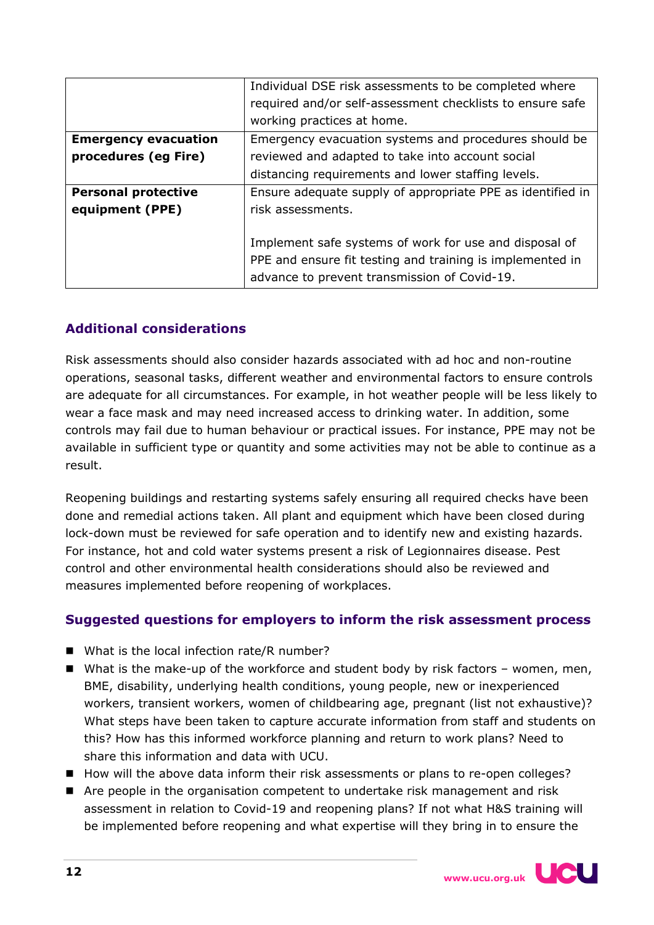|                             | Individual DSE risk assessments to be completed where      |
|-----------------------------|------------------------------------------------------------|
|                             | required and/or self-assessment checklists to ensure safe  |
|                             | working practices at home.                                 |
| <b>Emergency evacuation</b> | Emergency evacuation systems and procedures should be      |
| procedures (eg Fire)        | reviewed and adapted to take into account social           |
|                             | distancing requirements and lower staffing levels.         |
| <b>Personal protective</b>  | Ensure adequate supply of appropriate PPE as identified in |
| equipment (PPE)             | risk assessments.                                          |
|                             |                                                            |
|                             | Implement safe systems of work for use and disposal of     |
|                             | PPE and ensure fit testing and training is implemented in  |
|                             | advance to prevent transmission of Covid-19.               |

### **Additional considerations**

Risk assessments should also consider hazards associated with ad hoc and non-routine operations, seasonal tasks, different weather and environmental factors to ensure controls are adequate for all circumstances. For example, in hot weather people will be less likely to wear a face mask and may need increased access to drinking water. In addition, some controls may fail due to human behaviour or practical issues. For instance, PPE may not be available in sufficient type or quantity and some activities may not be able to continue as a result.

Reopening buildings and restarting systems safely ensuring all required checks have been done and remedial actions taken. All plant and equipment which have been closed during lock-down must be reviewed for safe operation and to identify new and existing hazards. For instance, hot and cold water systems present a risk of Legionnaires disease. Pest control and other environmental health considerations should also be reviewed and measures implemented before reopening of workplaces.

#### **Suggested questions for employers to inform the risk assessment process**

- What is the local infection rate/R number?
- What is the make-up of the workforce and student body by risk factors women, men, BME, disability, underlying health conditions, young people, new or inexperienced workers, transient workers, women of childbearing age, pregnant (list not exhaustive)? What steps have been taken to capture accurate information from staff and students on this? How has this informed workforce planning and return to work plans? Need to share this information and data with UCU.
- How will the above data inform their risk assessments or plans to re-open colleges?
- Are people in the organisation competent to undertake risk management and risk assessment in relation to Covid-19 and reopening plans? If not what H&S training will be implemented before reopening and what expertise will they bring in to ensure the